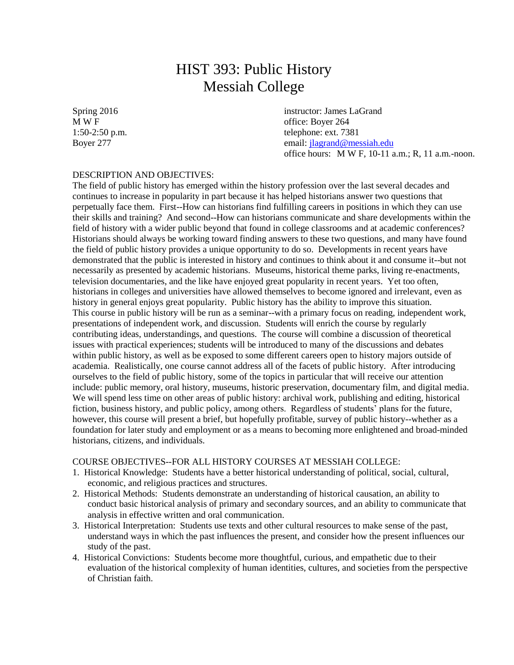# HIST 393: Public History Messiah College

Spring 2016 instructor: James LaGrand<br>
MWF Green Contact MWF 61 office: Boyer 264 1:50-2:50 p.m. telephone: ext. 7381 Boyer 277 email[: jlagrand@messiah.edu](mailto:jlagrand@messiah.edu) office hours: M W F, 10-11 a.m.; R, 11 a.m.-noon.

# DESCRIPTION AND OBJECTIVES:

The field of public history has emerged within the history profession over the last several decades and continues to increase in popularity in part because it has helped historians answer two questions that perpetually face them. First--How can historians find fulfilling careers in positions in which they can use their skills and training? And second--How can historians communicate and share developments within the field of history with a wider public beyond that found in college classrooms and at academic conferences? Historians should always be working toward finding answers to these two questions, and many have found the field of public history provides a unique opportunity to do so. Developments in recent years have demonstrated that the public is interested in history and continues to think about it and consume it--but not necessarily as presented by academic historians. Museums, historical theme parks, living re-enactments, television documentaries, and the like have enjoyed great popularity in recent years. Yet too often, historians in colleges and universities have allowed themselves to become ignored and irrelevant, even as history in general enjoys great popularity. Public history has the ability to improve this situation. This course in public history will be run as a seminar--with a primary focus on reading, independent work, presentations of independent work, and discussion. Students will enrich the course by regularly contributing ideas, understandings, and questions. The course will combine a discussion of theoretical issues with practical experiences; students will be introduced to many of the discussions and debates within public history, as well as be exposed to some different careers open to history majors outside of academia. Realistically, one course cannot address all of the facets of public history. After introducing ourselves to the field of public history, some of the topics in particular that will receive our attention include: public memory, oral history, museums, historic preservation, documentary film, and digital media. We will spend less time on other areas of public history: archival work, publishing and editing, historical fiction, business history, and public policy, among others. Regardless of students' plans for the future, however, this course will present a brief, but hopefully profitable, survey of public history--whether as a foundation for later study and employment or as a means to becoming more enlightened and broad-minded historians, citizens, and individuals.

### COURSE OBJECTIVES--FOR ALL HISTORY COURSES AT MESSIAH COLLEGE:

- 1. Historical Knowledge: Students have a better historical understanding of political, social, cultural, economic, and religious practices and structures.
- 2. Historical Methods: Students demonstrate an understanding of historical causation, an ability to conduct basic historical analysis of primary and secondary sources, and an ability to communicate that analysis in effective written and oral communication.
- 3. Historical Interpretation: Students use texts and other cultural resources to make sense of the past, understand ways in which the past influences the present, and consider how the present influences our study of the past.
- 4. Historical Convictions: Students become more thoughtful, curious, and empathetic due to their evaluation of the historical complexity of human identities, cultures, and societies from the perspective of Christian faith.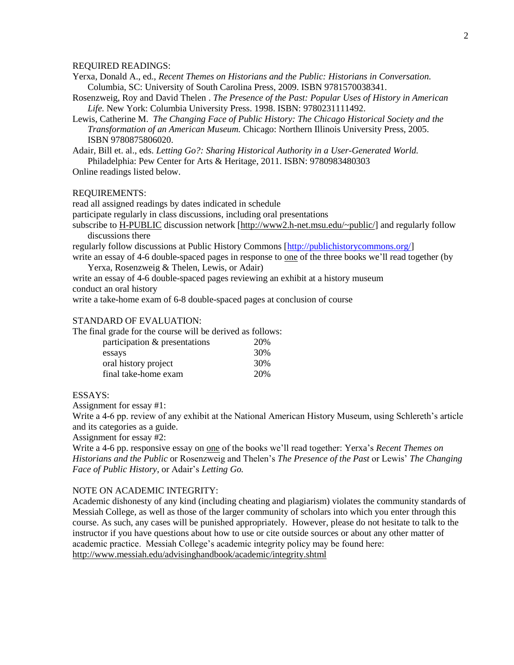#### REQUIRED READINGS:

- Yerxa, Donald A., ed., *Recent Themes on Historians and the Public: Historians in Conversation.* Columbia, SC: University of South Carolina Press, 2009. ISBN 9781570038341.
- Rosenzweig, Roy and David Thelen . *The Presence of the Past: Popular Uses of History in American Life.* New York: Columbia University Press. 1998. ISBN: 9780231111492.
- Lewis, Catherine M. *The Changing Face of Public History: The Chicago Historical Society and the Transformation of an American Museum.* Chicago: Northern Illinois University Press, 2005. ISBN 9780875806020.

Adair, Bill et. al., eds. *Letting Go?: Sharing Historical Authority in a User-Generated World.* Philadelphia: Pew Center for Arts & Heritage, 2011. ISBN: 9780983480303 Online readings listed below.

#### REQUIREMENTS:

read all assigned readings by dates indicated in schedule

participate regularly in class discussions, including oral presentations

subscribe to [H-PUBLIC](http://www2.h-net.msu.edu/~public/) discussion network [\[http://www2.h-net.msu.edu/~public/\]](http://www2.h-net.msu.edu/~public/) and regularly follow discussions there

regularly follow discussions at Public History Commons [\[http://publichistorycommons.org/\]](http://publichistorycommons.org/) write an essay of 4-6 double-spaced pages in response to one of the three books we'll read together (by

Yerxa, Rosenzweig & Thelen, Lewis, or Adair)

write an essay of 4-6 double-spaced pages reviewing an exhibit at a history museum conduct an oral history

write a take-home exam of 6-8 double-spaced pages at conclusion of course

## STANDARD OF EVALUATION:

The final grade for the course will be derived as follows:

| participation & presentations | 20% |
|-------------------------------|-----|
| essays                        | 30% |
| oral history project          | 30% |
| final take-home exam          | 20% |

#### ESSAYS:

Assignment for essay #1:

Write a 4-6 pp. review of any exhibit at the National American History Museum, using Schlereth's article and its categories as a guide.

Assignment for essay #2:

Write a 4-6 pp. responsive essay on one of the books we'll read together: Yerxa's *Recent Themes on Historians and the Public* or Rosenzweig and Thelen's *The Presence of the Past* or Lewis' *The Changing Face of Public History*, or Adair's *Letting Go.*

#### NOTE ON ACADEMIC INTEGRITY:

Academic dishonesty of any kind (including cheating and plagiarism) violates the community standards of Messiah College, as well as those of the larger community of scholars into which you enter through this course. As such, any cases will be punished appropriately. However, please do not hesitate to talk to the instructor if you have questions about how to use or cite outside sources or about any other matter of academic practice. Messiah College's academic integrity policy may be found here: <http://www.messiah.edu/advisinghandbook/academic/integrity.shtml>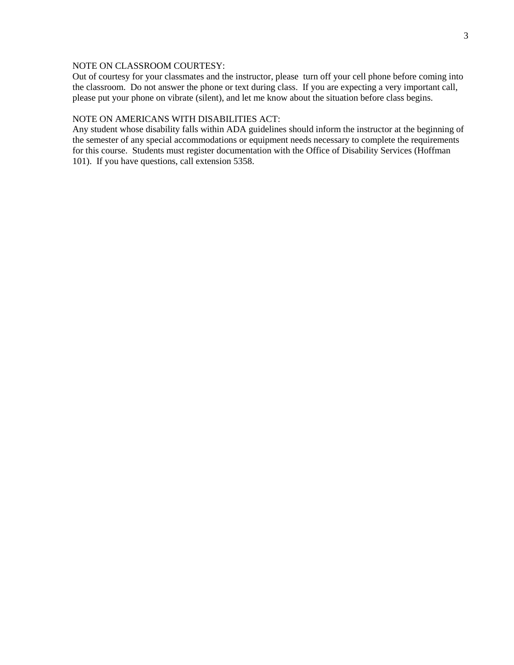# NOTE ON CLASSROOM COURTESY:

Out of courtesy for your classmates and the instructor, please turn off your cell phone before coming into the classroom. Do not answer the phone or text during class. If you are expecting a very important call, please put your phone on vibrate (silent), and let me know about the situation before class begins.

# NOTE ON AMERICANS WITH DISABILITIES ACT:

Any student whose disability falls within ADA guidelines should inform the instructor at the beginning of the semester of any special accommodations or equipment needs necessary to complete the requirements for this course. Students must register documentation with the Office of Disability Services (Hoffman 101). If you have questions, call extension 5358.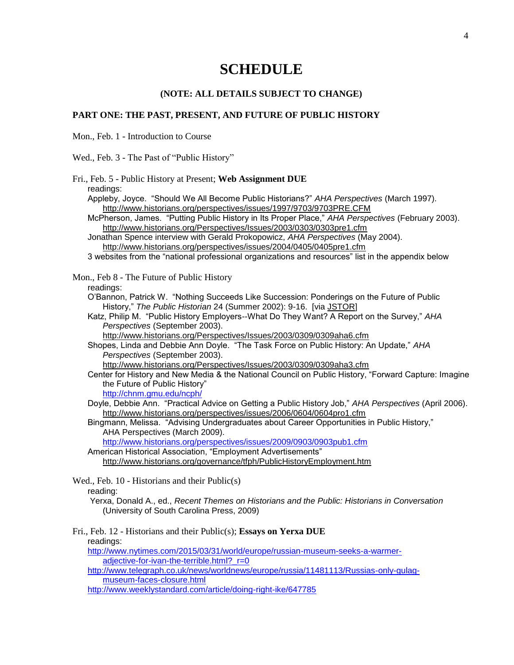# **SCHEDULE**

# **(NOTE: ALL DETAILS SUBJECT TO CHANGE)**

# **PART ONE: THE PAST, PRESENT, AND FUTURE OF PUBLIC HISTORY**

Mon., Feb. 1 - Introduction to Course

Wed., Feb. 3 - The Past of "Public History"

| Fri., Feb. 5 - Public History at Present; Web Assignment DUE<br>readings:                                                                                                                                                                                                                                                                                                                                                                                                                               |
|---------------------------------------------------------------------------------------------------------------------------------------------------------------------------------------------------------------------------------------------------------------------------------------------------------------------------------------------------------------------------------------------------------------------------------------------------------------------------------------------------------|
| Appleby, Joyce. "Should We All Become Public Historians?" AHA Perspectives (March 1997).<br>http://www.historians.org/perspectives/issues/1997/9703/9703PRE.CFM<br>McPherson, James. "Putting Public History in Its Proper Place," AHA Perspectives (February 2003).<br>http://www.historians.org/Perspectives/Issues/2003/0303/0303pre1.cfm<br>Jonathan Spence interview with Gerald Prokopowicz, AHA Perspectives (May 2004).<br>http://www.historians.org/perspectives/issues/2004/0405/0405pre1.cfm |
| 3 websites from the "national professional organizations and resources" list in the appendix below                                                                                                                                                                                                                                                                                                                                                                                                      |
| Mon., Feb 8 - The Future of Public History<br>readings:                                                                                                                                                                                                                                                                                                                                                                                                                                                 |
| O'Bannon, Patrick W. "Nothing Succeeds Like Succession: Ponderings on the Future of Public<br>History," The Public Historian 24 (Summer 2002): 9-16. [via JSTOR]                                                                                                                                                                                                                                                                                                                                        |
| Katz, Philip M. "Public History Employers--What Do They Want? A Report on the Survey," AHA<br>Perspectives (September 2003).                                                                                                                                                                                                                                                                                                                                                                            |
| http://www.historians.org/Perspectives/Issues/2003/0309/0309aha6.cfm<br>Shopes, Linda and Debbie Ann Doyle. "The Task Force on Public History: An Update," AHA<br>Perspectives (September 2003).                                                                                                                                                                                                                                                                                                        |
| http://www.historians.org/Perspectives/Issues/2003/0309/0309aha3.cfm<br>Center for History and New Media & the National Council on Public History, "Forward Capture: Imagine<br>the Future of Public History"                                                                                                                                                                                                                                                                                           |
| http://chnm.gmu.edu/ncph/<br>Doyle, Debbie Ann. "Practical Advice on Getting a Public History Job," AHA Perspectives (April 2006).<br>http://www.historians.org/perspectives/issues/2006/0604/0604pro1.cfm                                                                                                                                                                                                                                                                                              |
| Bingmann, Melissa. "Advising Undergraduates about Career Opportunities in Public History,"<br>AHA Perspectives (March 2009).                                                                                                                                                                                                                                                                                                                                                                            |
| http://www.historians.org/perspectives/issues/2009/0903/0903pub1.cfm<br>American Historical Association, "Employment Advertisements"                                                                                                                                                                                                                                                                                                                                                                    |
| http://www.historians.org/governance/tfph/PublicHistoryEmployment.htm                                                                                                                                                                                                                                                                                                                                                                                                                                   |
| Wed., Feb. 10 - Historians and their Public(s)<br>reading:                                                                                                                                                                                                                                                                                                                                                                                                                                              |
| Yerxa, Donald A., ed., Recent Themes on Historians and the Public: Historians in Conversation<br>(University of South Carolina Press, 2009)                                                                                                                                                                                                                                                                                                                                                             |
| Fri., Feb. 12 - Historians and their Public(s); Essays on Yerxa DUE<br>readings:                                                                                                                                                                                                                                                                                                                                                                                                                        |
| http://www.nytimes.com/2015/03/31/world/europe/russian-museum-seeks-a-warmer-<br>adjective-for-ivan-the-terrible.html?_r=0                                                                                                                                                                                                                                                                                                                                                                              |
| http://www.telegraph.co.uk/news/worldnews/europe/russia/11481113/Russias-only-gulag-<br>museum-faces-closure.html                                                                                                                                                                                                                                                                                                                                                                                       |
| http://www.weeklystandard.com/article/doing-right-ike/647785                                                                                                                                                                                                                                                                                                                                                                                                                                            |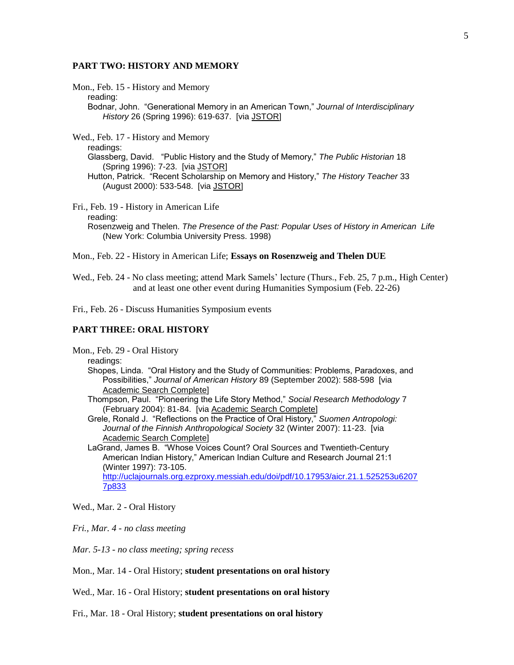#### **PART TWO: HISTORY AND MEMORY**

Mon., Feb. 15 - History and Memory

reading:

Bodnar, John. "Generational Memory in an American Town," *Journal of Interdisciplinary History* 26 (Spring 1996): 619-637. [via [JSTOR\]](http://www.messiah.edu/murraylibrary/indexes/jstor.html)

Wed., Feb. 17 - History and Memory

readings:

Glassberg, David. "Public History and the Study of Memory," *The Public Historian* 18 (Spring 1996): 7-23. [via [JSTOR\]](http://www.messiah.edu/murraylibrary/indexes/jstor.html)

Hutton, Patrick. "Recent Scholarship on Memory and History," *The History Teacher* 33 (August 2000): 533-548. [via [JSTOR\]](http://www.messiah.edu/murraylibrary/indexes/jstor.html)

Fri., Feb. 19 - History in American Life

reading:

Rosenzweig and Thelen. *The Presence of the Past: Popular Uses of History in American Life* (New York: Columbia University Press. 1998)

Mon., Feb. 22 - History in American Life; **Essays on Rosenzweig and Thelen DUE**

Wed., Feb. 24 - No class meeting; attend Mark Samels' lecture (Thurs., Feb. 25, 7 p.m., High Center) and at least one other event during Humanities Symposium (Feb. 22-26)

Fri., Feb. 26 - Discuss Humanities Symposium events

# **PART THREE: ORAL HISTORY**

Mon., Feb. 29 - Oral History

readings:

Shopes, Linda. "Oral History and the Study of Communities: Problems, Paradoxes, and Possibilities," *Journal of American History* 89 (September 2002): 588-598 [via [Academic Search Complete\]](http://www.messiah.edu/murraylibrary/indexes/asp.html)

Thompson, Paul. "Pioneering the Life Story Method," *Social Research Methodology* 7 (February 2004): 81-84. [via [Academic Search Complete\]](http://www.messiah.edu/murraylibrary/indexes/asp.html)

- Grele, Ronald J. "Reflections on the Practice of Oral History," *Suomen Antropologi: Journal of the Finnish Anthropological Society* 32 (Winter 2007): 11-23. [via [Academic Search Complete\]](http://www.messiah.edu/murraylibrary/indexes/asp.html)
- LaGrand, James B. "Whose Voices Count? Oral Sources and Twentieth-Century American Indian History," American Indian Culture and Research Journal 21:1 (Winter 1997): 73-105. [http://uclajournals.org.ezproxy.messiah.edu/doi/pdf/10.17953/aicr.21.1.525253u6207](http://uclajournals.org.ezproxy.messiah.edu/doi/pdf/10.17953/aicr.21.1.525253u62077p833) [7p833](http://uclajournals.org.ezproxy.messiah.edu/doi/pdf/10.17953/aicr.21.1.525253u62077p833)

Wed., Mar. 2 - Oral History

*Fri., Mar. 4 - no class meeting*

*Mar. 5-13 - no class meeting; spring recess*

Mon., Mar. 14 - Oral History; **student presentations on oral history**

Wed., Mar. 16 - Oral History; **student presentations on oral history**

Fri., Mar. 18 - Oral History; **student presentations on oral history**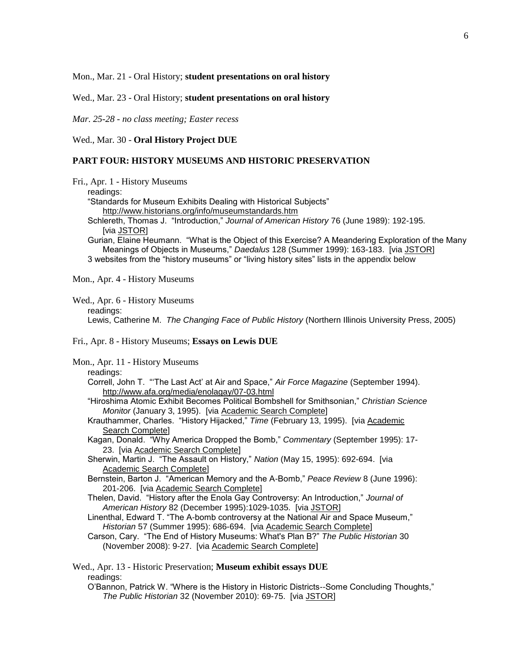Mon., Mar. 21 - Oral History; **student presentations on oral history**

Wed., Mar. 23 - Oral History; **student presentations on oral history**

*Mar. 25-28 - no class meeting; Easter recess*

Wed., Mar. 30 - **Oral History Project DUE**

#### **PART FOUR: HISTORY MUSEUMS AND HISTORIC PRESERVATION**

Fri., Apr. 1 - History Museums

readings:

"Standards for Museum Exhibits Dealing with Historical Subjects"

- <http://www.historians.org/info/museumstandards.htm>
- Schlereth, Thomas J. "Introduction," *Journal of American History* 76 (June 1989): 192-195. [via [JSTOR\]](http://www.messiah.edu/murraylibrary/indexes/jstor.html)

Gurian, Elaine Heumann. "What is the Object of this Exercise? A Meandering Exploration of the Many Meanings of Objects in Museums," *Daedalus* 128 (Summer 1999): 163-183. [via [JSTOR\]](http://www.messiah.edu/murraylibrary/indexes/jstor.html) 3 websites from the "history museums" or "living history sites" lists in the appendix below

Mon., Apr. 4 - History Museums

#### Wed., Apr. 6 - History Museums readings: Lewis, Catherine M. *The Changing Face of Public History* (Northern Illinois University Press, 2005)

#### Fri., Apr. 8 - History Museums; **Essays on Lewis DUE**

Mon., Apr. 11 - History Museums readings:

- Correll, John T. "'The Last Act' at Air and Space," *Air Force Magazine* (September 1994). <http://www.afa.org/media/enolagay/07-03.html>
- "Hiroshima Atomic Exhibit Becomes Political Bombshell for Smithsonian," *Christian Science Monitor* (January 3, 1995). [via [Academic Search Complete\]](http://www.messiah.edu/murraylibrary/indexes/asp.html)
- Krauthammer, Charles. "History Hijacked," *Time* (February 13, 1995). [via [Academic](http://www.messiah.edu/murraylibrary/indexes/asp.html)  [Search Complete\]](http://www.messiah.edu/murraylibrary/indexes/asp.html)
- Kagan, Donald. "Why America Dropped the Bomb," *Commentary* (September 1995): 17- 23. [via [Academic Search Complete\]](http://www.messiah.edu/murraylibrary/indexes/asp.html)
- Sherwin, Martin J. "The Assault on History," *Nation* (May 15, 1995): 692-694. [via [Academic Search Complete\]](http://www.messiah.edu/murraylibrary/indexes/asp.html)
- Bernstein, Barton J. "American Memory and the A-Bomb," *Peace Review* 8 (June 1996): 201-206. [via [Academic Search Complete\]](http://www.messiah.edu/murraylibrary/indexes/asp.html)
- Thelen, David. "History after the Enola Gay Controversy: An Introduction," *Journal of American History* 82 (December 1995):1029-1035. [via [JSTOR\]](http://www.messiah.edu/murraylibrary/indexes/jstor.html)
- Linenthal, Edward T. "The A-bomb controversy at the National Air and Space Museum," *Historian* 57 (Summer 1995): 686-694. [via [Academic Search Complete\]](http://www.messiah.edu/murraylibrary/indexes/asp.html)
- Carson, Cary. "The End of History Museums: What's Plan B?" *The Public Historian* 30 (November 2008): 9-27. [via [Academic Search Complete\]](http://www.messiah.edu/murraylibrary/indexes/asp.html)

| Wed., Apr. 13 - Historic Preservation; Museum exhibit essays DUE                             |
|----------------------------------------------------------------------------------------------|
| readings:                                                                                    |
| O'Bannon, Patrick W. "Where is the History in Historic Districts--Some Concluding Thoughts," |
| The Public Historian 32 (November 2010): 69-75. [via JSTOR]                                  |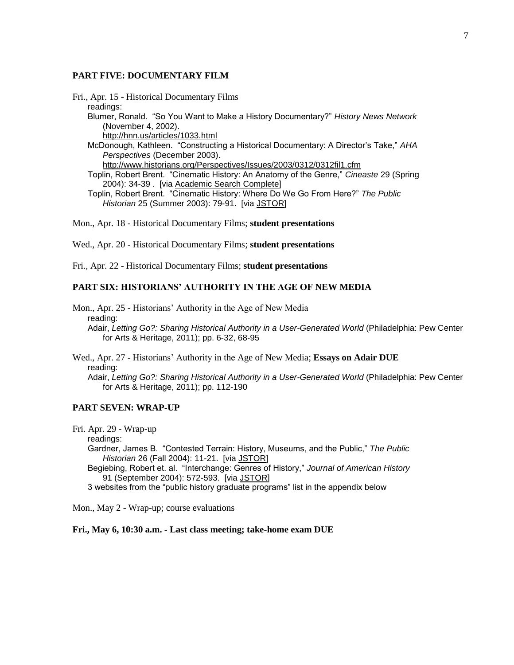#### **PART FIVE: DOCUMENTARY FILM**

Fri., Apr. 15 - Historical Documentary Films readings: Blumer, Ronald. "So You Want to Make a History Documentary?" *History News Network* (November 4, 2002). <http://hnn.us/articles/1033.html> McDonough, Kathleen. "Constructing a Historical Documentary: A Director's Take," *AHA Perspectives* (December 2003). <http://www.historians.org/Perspectives/Issues/2003/0312/0312fil1.cfm> Toplin, Robert Brent. "Cinematic History: An Anatomy of the Genre," *Cineaste* 29 (Spring 2004): 34-39 . [via [Academic Search Complete\]](http://www.messiah.edu/murraylibrary/indexes/asp.html) Toplin, Robert Brent. "Cinematic History: Where Do We Go From Here?" *The Public Historian* 25 (Summer 2003): 79-91. [via [JSTOR\]](http://www.messiah.edu/murraylibrary/indexes/jstor.html)

Mon., Apr. 18 - Historical Documentary Films; **student presentations**

Wed., Apr. 20 - Historical Documentary Films; **student presentations**

Fri., Apr. 22 - Historical Documentary Films; **student presentations**

## **PART SIX: HISTORIANS' AUTHORITY IN THE AGE OF NEW MEDIA**

Mon., Apr. 25 - Historians' Authority in the Age of New Media reading: Adair, *Letting Go?: Sharing Historical Authority in a User-Generated World* (Philadelphia: Pew Center for Arts & Heritage, 2011); pp. 6-32, 68-95

Wed., Apr. 27 - Historians' Authority in the Age of New Media; **Essays on Adair DUE** reading: Adair, *Letting Go?: Sharing Historical Authority in a User-Generated World* (Philadelphia: Pew Center for Arts & Heritage, 2011); pp. 112-190

#### **PART SEVEN: WRAP-UP**

Fri. Apr. 29 - Wrap-up

readings:

Gardner, James B. "Contested Terrain: History, Museums, and the Public," *The Public Historian* 26 (Fall 2004): 11-21. [via [JSTOR\]](http://www.messiah.edu/murraylibrary/indexes/jstor.html)

Begiebing, Robert et. al. "Interchange: Genres of History," *Journal of American History* 91 (September 2004): 572-593. [via [JSTOR\]](http://www.messiah.edu/murraylibrary/indexes/jstor.html)

3 websites from the "public history graduate programs" list in the appendix below

Mon., May 2 - Wrap-up; course evaluations

**Fri., May 6, 10:30 a.m. - Last class meeting; take-home exam DUE**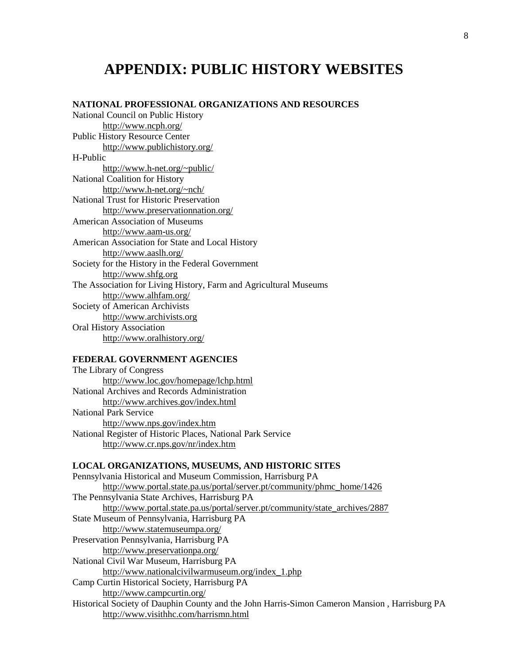# **APPENDIX: PUBLIC HISTORY WEBSITES**

# **NATIONAL PROFESSIONAL ORGANIZATIONS AND RESOURCES**

National Council on Public History <http://www.ncph.org/> Public History Resource Center <http://www.publichistory.org/> H-Public <http://www.h-net.org/~public/> National Coalition for History <http://www.h-net.org/~nch/> National Trust for Historic Preservation <http://www.preservationnation.org/> American Association of Museums <http://www.aam-us.org/> American Association for State and Local History <http://www.aaslh.org/> Society for the History in the Federal Government [http://www.shfg.org](http://www.shfg.org/) The Association for Living History, Farm and Agricultural Museums <http://www.alhfam.org/> Society of American Archivists [http://www.archivists.org](http://www.archivists.org/) Oral History Association <http://www.oralhistory.org/>

# **FEDERAL GOVERNMENT AGENCIES**

| The Library of Congress                                     |
|-------------------------------------------------------------|
| http://www.loc.gov/homepage/lchp.html                       |
| National Archives and Records Administration                |
| http://www.archives.gov/index.html                          |
| <b>National Park Service</b>                                |
| http://www.nps.gov/index.htm                                |
| National Register of Historic Places, National Park Service |
| http://www.cr.nps.gov/nr/index.htm                          |

### **LOCAL ORGANIZATIONS, MUSEUMS, AND HISTORIC SITES**

| Pennsylvania Historical and Museum Commission, Harrisburg PA                                  |
|-----------------------------------------------------------------------------------------------|
| http://www.portal.state.pa.us/portal/server.pt/community/phmc_home/1426                       |
| The Pennsylvania State Archives, Harrisburg PA                                                |
| http://www.portal.state.pa.us/portal/server.pt/community/state_archives/2887                  |
| State Museum of Pennsylvania, Harrisburg PA                                                   |
| http://www.statemuseumpa.org/                                                                 |
| Preservation Pennsylvania, Harrisburg PA                                                      |
| http://www.preservationpa.org/                                                                |
| National Civil War Museum, Harrisburg PA                                                      |
| http://www.nationalcivilwarmuseum.org/index 1.php                                             |
| Camp Curtin Historical Society, Harrisburg PA                                                 |
| http://www.campcurtin.org/                                                                    |
| Historical Society of Dauphin County and the John Harris-Simon Cameron Mansion, Harrisburg PA |
| http://www.visithhc.com/harrismn.html                                                         |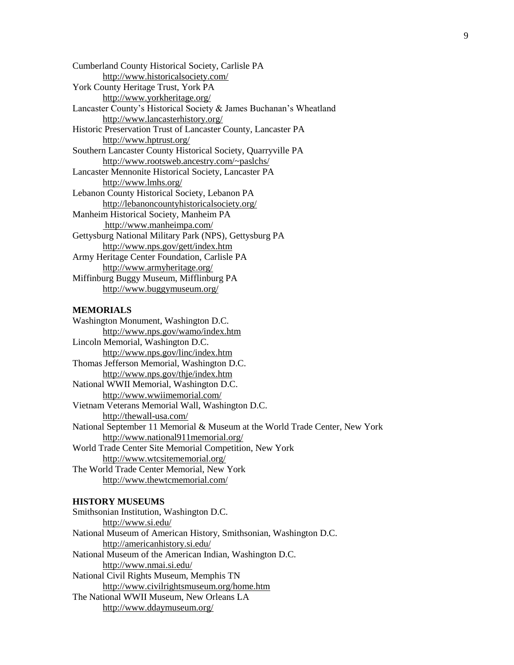Cumberland County Historical Society, Carlisle PA <http://www.historicalsociety.com/> York County Heritage Trust, York PA <http://www.yorkheritage.org/> Lancaster County's Historical Society & James Buchanan's Wheatland <http://www.lancasterhistory.org/> Historic Preservation Trust of Lancaster County, Lancaster PA <http://www.hptrust.org/> Southern Lancaster County Historical Society, Quarryville PA <http://www.rootsweb.ancestry.com/~paslchs/> Lancaster Mennonite Historical Society, Lancaster PA <http://www.lmhs.org/> Lebanon County Historical Society, Lebanon PA <http://lebanoncountyhistoricalsociety.org/> Manheim Historical Society, Manheim PA <http://www.manheimpa.com/> Gettysburg National Military Park (NPS), Gettysburg PA [http://www.nps.gov/gett/index.htm](http://www.nps.gov/gett/) Army Heritage Center Foundation, Carlisle PA <http://www.armyheritage.org/> Miffinburg Buggy Museum, Mifflinburg PA <http://www.buggymuseum.org/>

# **MEMORIALS**

Washington Monument, Washington D.C. <http://www.nps.gov/wamo/index.htm> Lincoln Memorial, Washington D.C. <http://www.nps.gov/linc/index.htm> Thomas Jefferson Memorial, Washington D.C. <http://www.nps.gov/thje/index.htm> National WWII Memorial, Washington D.C. <http://www.wwiimemorial.com/> Vietnam Veterans Memorial Wall, Washington D.C. <http://thewall-usa.com/> National September 11 Memorial & Museum at the World Trade Center, New York <http://www.national911memorial.org/> World Trade Center Site Memorial Competition, New York <http://www.wtcsitememorial.org/>

The World Trade Center Memorial, New York <http://www.thewtcmemorial.com/>

#### **HISTORY MUSEUMS**

Smithsonian Institution, Washington D.C. <http://www.si.edu/> National Museum of American History, Smithsonian, Washington D.C. <http://americanhistory.si.edu/> National Museum of the American Indian, Washington D.C. <http://www.nmai.si.edu/> National Civil Rights Museum, Memphis TN <http://www.civilrightsmuseum.org/home.htm> The National WWII Museum, New Orleans LA <http://www.ddaymuseum.org/>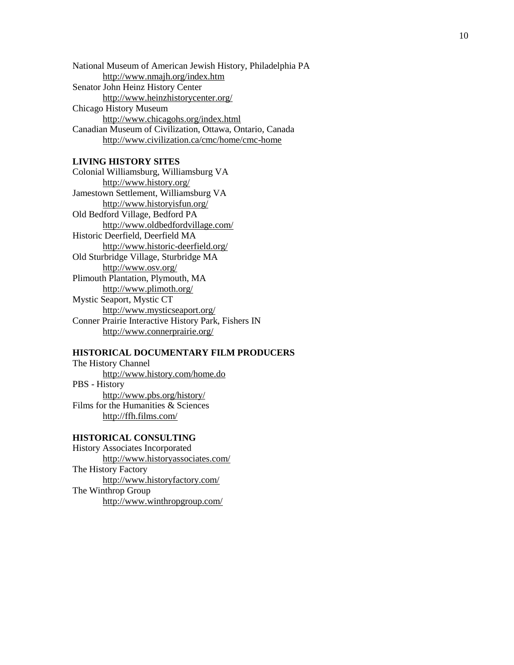National Museum of American Jewish History, Philadelphia PA <http://www.nmajh.org/index.htm> Senator John Heinz History Center <http://www.heinzhistorycenter.org/> Chicago History Museum <http://www.chicagohs.org/index.html> Canadian Museum of Civilization, Ottawa, Ontario, Canada [http://www.civilization.ca/cmc/home/cmc](http://www.civilization.ca/cmc/home/cmc-home) -home

# **LIVING HISTORY SITES**

Colonial Williamsburg, Williamsburg VA <http://www.history.org/> Jamestown Settlement, Williamsburg VA <http://www.historyisfun.org/> Old Bedford Village, Bedford PA <http://www.oldbedfordvillage.com/> Historic Deerfield, Deerfield MA [http://www.historic](http://www.historic-deerfield.org/) -deerfield.org/ Old Sturbridge Village, Sturbridge MA <http://www.osv.org/> Plimouth Plantation, Plymouth, MA <http://www.plimoth.org/> Mystic Seaport, Mystic CT <http://www.mysticseaport.org/> Conner Prairie Interactive History Park, Fishers IN <http://www.connerprairie.org/>

# **HISTORICAL DOCUMENTARY FILM PRODUCERS**

The History Channel <http://www.history.com/home.do> PBS - History [http://www.pbs.org/history/](http://www.pbs.org/neighborhoods/history/) Films for the Humanities & Sciences <http://ffh.films.com/>

## **HISTORICAL CONSULTING**

History Associates Incorporated <http://www.historyassociates.com/> The History Factory <http://www.historyfactory.com/> The Winthrop Group <http://www.winthropgroup.com/>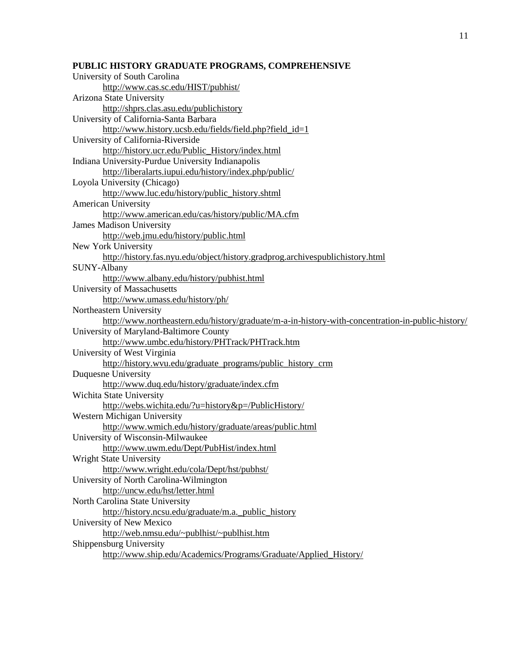# **PUBLIC HISTORY GRADUATE PROGRAMS, COMPREHENSIVE**